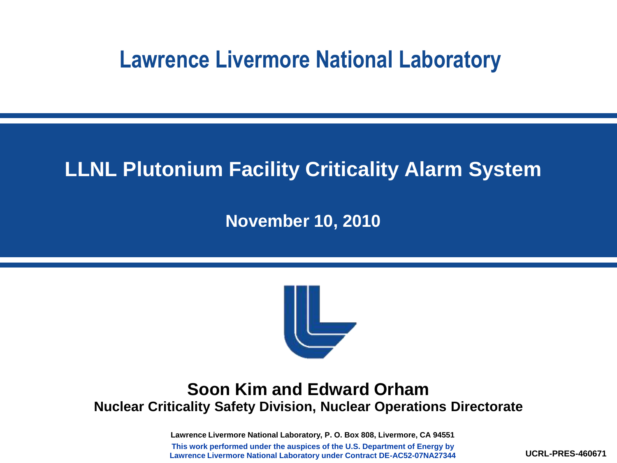### **Lawrence Livermore National Laboratory**

### **LLNL Plutonium Facility Criticality Alarm System**

**November 10, 2010**



#### **Soon Kim and Edward Orham Nuclear Criticality Safety Division, Nuclear Operations Directorate**

**Lawrence Livermore National Laboratory, P. O. Box 808, Livermore, CA 94551 This work performed under the auspices of the U.S. Department of Energy by Lawrence Livermore National Laboratory under Contract DE-AC52-07NA27344**

**UCRL-PRES-460671**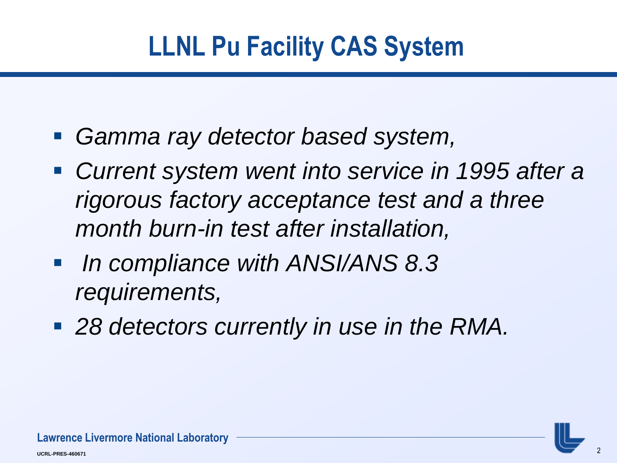## **LLNL Pu Facility CAS System**

- *Gamma ray detector based system,*
- *Current system went into service in 1995 after a rigorous factory acceptance test and a three month burn-in test after installation,*
- *In compliance with ANSI/ANS 8.3 requirements,*
- *28 detectors currently in use in the RMA.*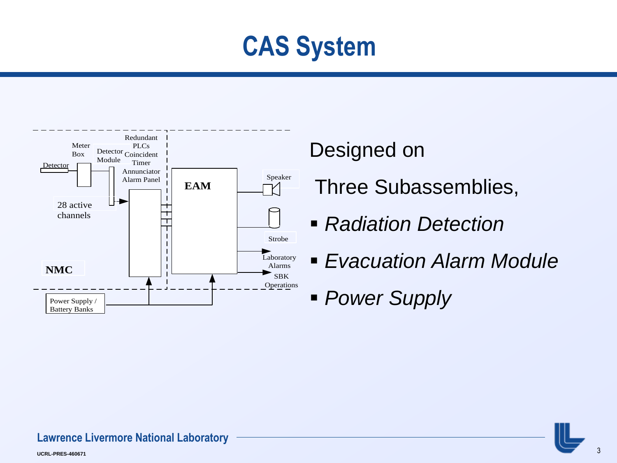



#### Designed on

Three Subassemblies,

- *Radiation Detection*
- *Evacuation Alarm Module*
- *Power Supply*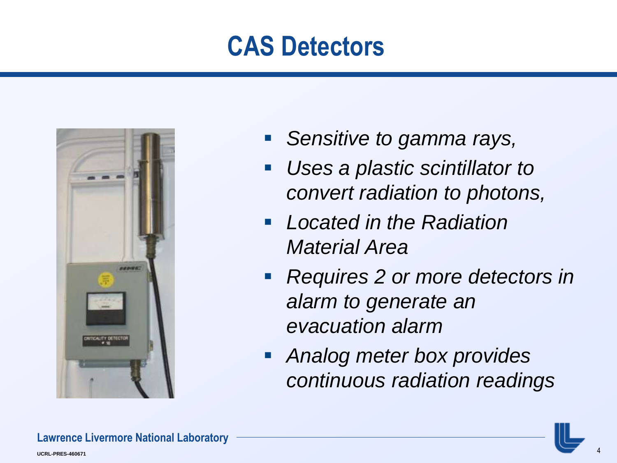## **CAS Detectors**



- *Sensitive to gamma rays,*
- *Uses a plastic scintillator to convert radiation to photons,*
- *Located in the Radiation Material Area*
- *Requires 2 or more detectors in alarm to generate an evacuation alarm*
- *Analog meter box provides continuous radiation readings*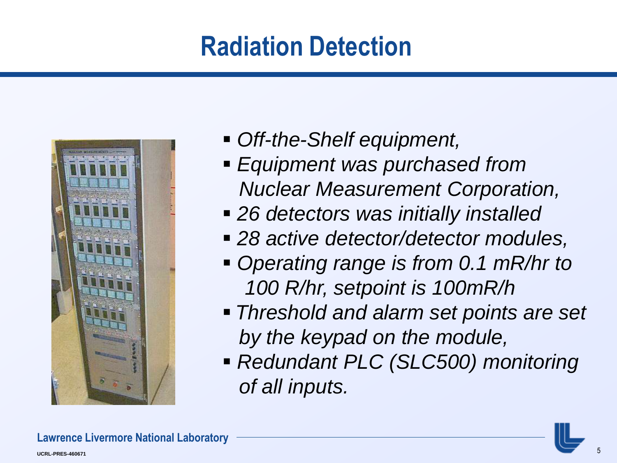## **Radiation Detection**



- *Off-the-Shelf equipment,*
- *Equipment was purchased from Nuclear Measurement Corporation,*
- *26 detectors was initially installed*
- *28 active detector/detector modules,*
- *Operating range is from 0.1 mR/hr to 100 R/hr, setpoint is 100mR/h*
- *Threshold and alarm set points are set by the keypad on the module,*
- *Redundant PLC (SLC500) monitoring of all inputs.*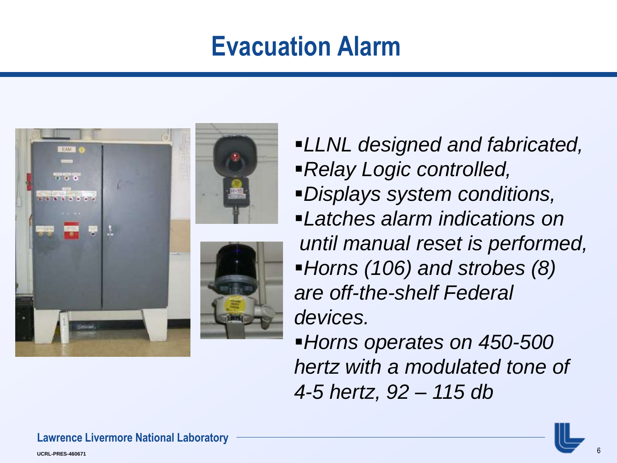## **Evacuation Alarm**



- *LLNL designed and fabricated,*
- *Relay Logic controlled,*
- *Displays system conditions,*
- *Latches alarm indications on until manual reset is performed, Horns (106) and strobes (8) are off-the-shelf Federal devices.*
- *Horns operates on 450-500 hertz with a modulated tone of 4-5 hertz, 92 – 115 db*

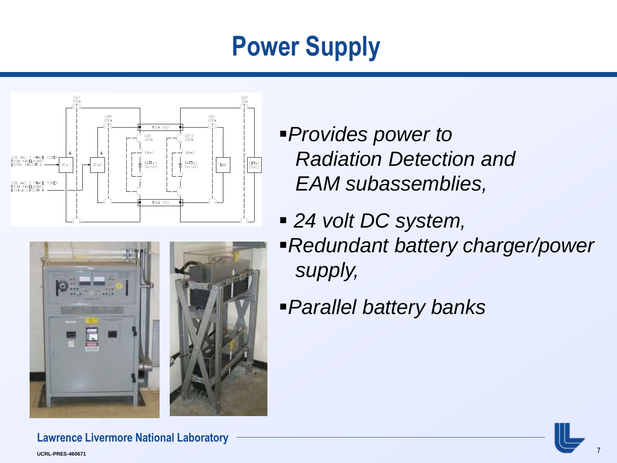# **Power Supply**





- *Provides power to Radiation Detection and EAM subassemblies,*
- *24 volt DC system,*
- *Redundant battery charger/power supply,*
- *Parallel battery banks*

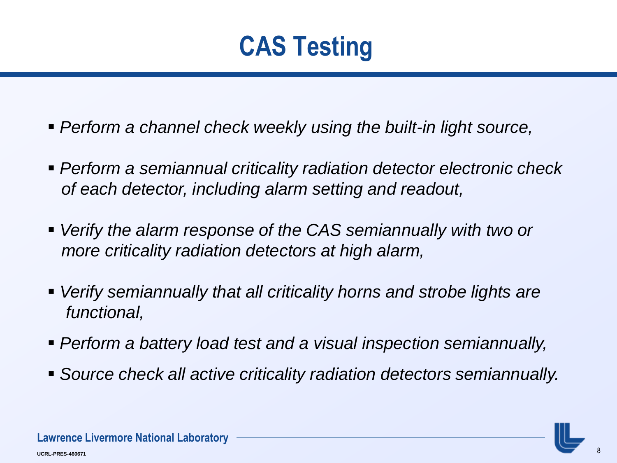

- *Perform a channel check weekly using the built-in light source,*
- *Perform a semiannual criticality radiation detector electronic check of each detector, including alarm setting and readout,*
- *Verify the alarm response of the CAS semiannually with two or more criticality radiation detectors at high alarm,*
- *Verify semiannually that all criticality horns and strobe lights are functional,*
- *Perform a battery load test and a visual inspection semiannually,*
- *Source check all active criticality radiation detectors semiannually.*

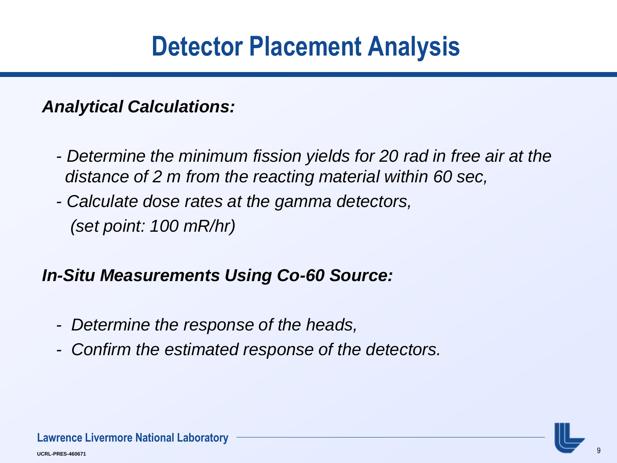## **Detector Placement Analysis**

*Analytical Calculations:* 

- *- Determine the minimum fission yields for 20 rad in free air at the distance of 2 m from the reacting material within 60 sec,*
- *- Calculate dose rates at the gamma detectors, (set point: 100 mR/hr)*

#### *In-Situ Measurements Using Co-60 Source:*

- *- Determine the response of the heads,*
- *- Confirm the estimated response of the detectors.*

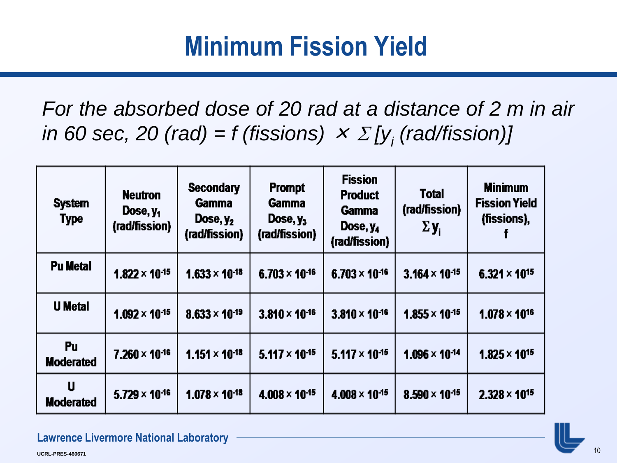## **Minimum Fission Yield**

*For the absorbed dose of 20 rad at a distance of 2 m in air in* 60 sec, 20 (rad) = f (fissions)  $\times$   $\sum$  [y<sub>i</sub> (rad/fission)]

| <b>System</b><br><b>Type</b> | <b>Neutron</b><br>Dose, y <sub>1</sub><br>(rad/fission) | <b>Secondary</b><br><b>Gamma</b><br>Dose, $y_2$<br>(rad/fission) | <b>Prompt</b><br><b>Gamma</b><br>Dose, $y_3$<br>(rad/fission) | <b>Fission</b><br><b>Product</b><br>Gamma<br>Dose, y <sub>4</sub><br>(rad/fission) | <b>Total</b><br>(rad/fission)<br>$\Sigma$ y <sub>i</sub> | <b>Minimum</b><br><b>Fission Yield</b><br>(fissions), |
|------------------------------|---------------------------------------------------------|------------------------------------------------------------------|---------------------------------------------------------------|------------------------------------------------------------------------------------|----------------------------------------------------------|-------------------------------------------------------|
| <b>Pu Metal</b>              | $1.822 \times 10^{-15}$                                 | $1.633 \times 10^{-18}$                                          | $6.703 \times 10^{-16}$                                       | $6.703 \times 10^{-16}$                                                            | $3.164 \times 10^{-15}$                                  | $6.321 \times 10^{15}$                                |
| <b>U</b> Metal               | $1.092 \times 10^{-15}$                                 | $8.633 \times 10^{-19}$                                          | $3.810 \times 10^{-16}$                                       | $3.810 \times 10^{-16}$                                                            | $1.855 \times 10^{-15}$                                  | $1.078 \times 10^{16}$                                |
| Pu<br><b>Moderated</b>       | $7.260 \times 10^{-16}$                                 | $1.151 \times 10^{-18}$                                          | $5.117 \times 10^{-15}$                                       | $5.117 \times 10^{-15}$                                                            | $1.096 \times 10^{-14}$                                  | $1.825 \times 10^{15}$                                |
| U<br><b>Moderated</b>        | $5.729 \times 10^{-16}$                                 | $1.078 \times 10^{-18}$                                          | $4.008 \times 10^{-15}$                                       | $4.008 \times 10^{-15}$                                                            | $8.590 \times 10^{-15}$                                  | $2.328 \times 10^{15}$                                |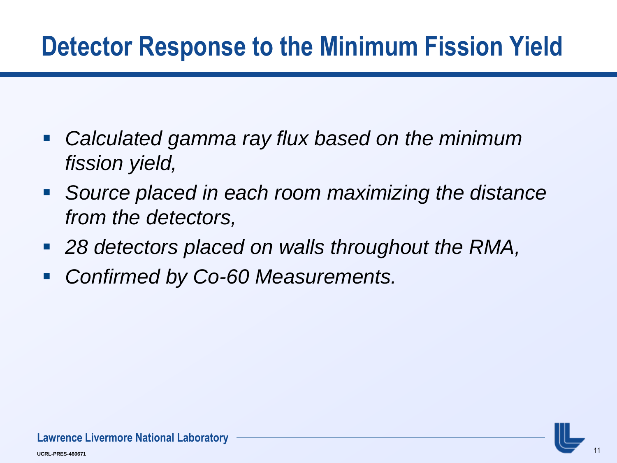## **Detector Response to the Minimum Fission Yield**

- *Calculated gamma ray flux based on the minimum fission yield,*
- *Source placed in each room maximizing the distance from the detectors,*
- *28 detectors placed on walls throughout the RMA,*
- *Confirmed by Co-60 Measurements.*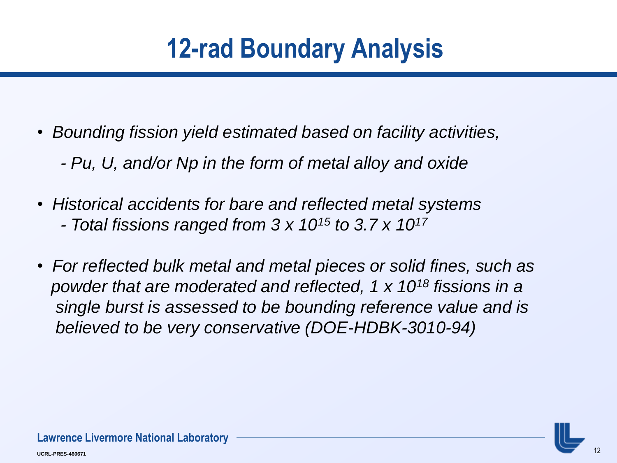# **12-rad Boundary Analysis**

- *Bounding fission yield estimated based on facility activities,*
	- *- Pu, U, and/or Np in the form of metal alloy and oxide*
- *Historical accidents for bare and reflected metal systems - Total fissions ranged from 3 x 10<sup>15</sup> to 3.7 x 10<sup>17</sup>*
- *For reflected bulk metal and metal pieces or solid fines, such as powder that are moderated and reflected, 1 x 10<sup>18</sup> fissions in a single burst is assessed to be bounding reference value and is believed to be very conservative (DOE-HDBK-3010-94)*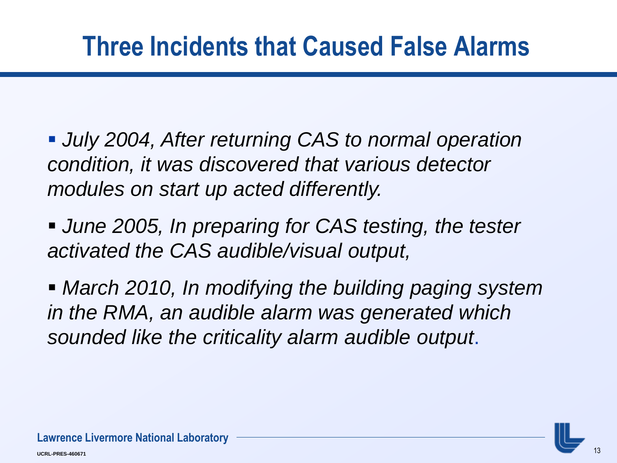## **Three Incidents that Caused False Alarms**

- *July 2004, After returning CAS to normal operation condition, it was discovered that various detector modules on start up acted differently.*
- *June 2005, In preparing for CAS testing, the tester activated the CAS audible/visual output,*
- *March 2010, In modifying the building paging system in the RMA, an audible alarm was generated which sounded like the criticality alarm audible output*.